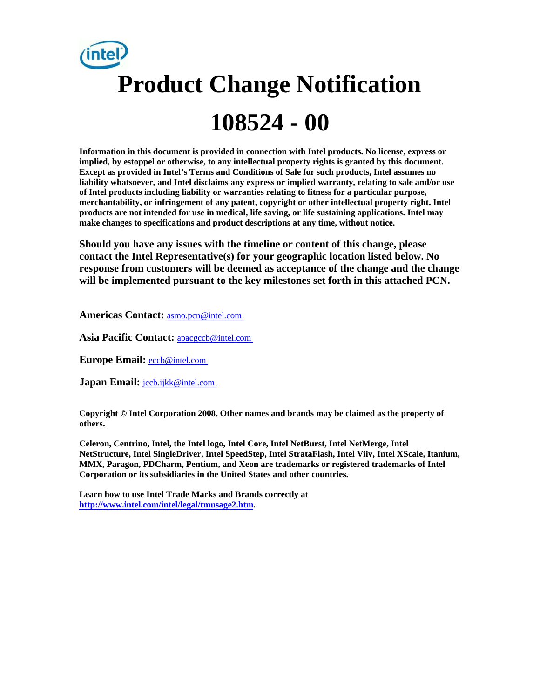# **Product Change Notification 108524 - 00**

**Information in this document is provided in connection with Intel products. No license, express or implied, by estoppel or otherwise, to any intellectual property rights is granted by this document. Except as provided in Intel's Terms and Conditions of Sale for such products, Intel assumes no liability whatsoever, and Intel disclaims any express or implied warranty, relating to sale and/or use of Intel products including liability or warranties relating to fitness for a particular purpose, merchantability, or infringement of any patent, copyright or other intellectual property right. Intel products are not intended for use in medical, life saving, or life sustaining applications. Intel may make changes to specifications and product descriptions at any time, without notice.** 

**Should you have any issues with the timeline or content of this change, please contact the Intel Representative(s) for your geographic location listed below. No response from customers will be deemed as acceptance of the change and the change will be implemented pursuant to the key milestones set forth in this attached PCN.** 

**Americas Contact:** [asmo.pcn@intel.com](mailto:asmo.pcn@intel.com) 

**Asia Pacific Contact:** [apacgccb@intel.com](mailto:apacgccb@intel.com) 

**Europe Email:** [eccb@intel.com](mailto:eccb@intel.com) 

**Japan Email: jccb.ijkk@intel.com** 

**Copyright © Intel Corporation 2008. Other names and brands may be claimed as the property of others.**

**Celeron, Centrino, Intel, the Intel logo, Intel Core, Intel NetBurst, Intel NetMerge, Intel NetStructure, Intel SingleDriver, Intel SpeedStep, Intel StrataFlash, Intel Viiv, Intel XScale, Itanium, MMX, Paragon, PDCharm, Pentium, and Xeon are trademarks or registered trademarks of Intel Corporation or its subsidiaries in the United States and other countries.** 

**Learn how to use Intel Trade Marks and Brands correctly at [http://www.intel.com/intel/legal/tmusage2.htm.](http://www.intel.com/intel/legal/tmusage2.htm)**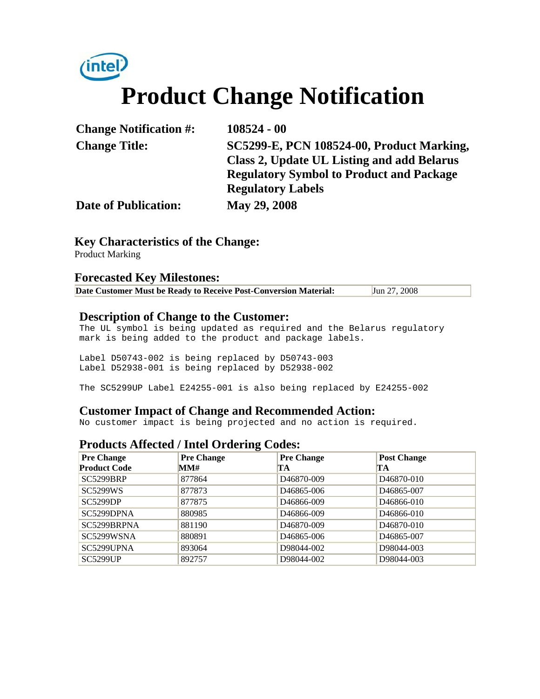## (intel **Product Change Notification**

| <b>Change Notification #:</b> | $108524 - 00$                                   |
|-------------------------------|-------------------------------------------------|
| <b>Change Title:</b>          | SC5299-E, PCN 108524-00, Product Marking,       |
|                               | Class 2, Update UL Listing and add Belarus      |
|                               | <b>Regulatory Symbol to Product and Package</b> |
|                               | <b>Regulatory Labels</b>                        |
| <b>Date of Publication:</b>   | May 29, 2008                                    |

#### **Key Characteristics of the Change:**

Product Marking

#### **Forecasted Key Milestones:**

| Date Customer Must be Ready to Receive Post-Conversion Material: | Jun $27, 2008$ |
|------------------------------------------------------------------|----------------|
|------------------------------------------------------------------|----------------|

#### **Description of Change to the Customer:**

The UL symbol is being updated as required and the Belarus regulatory mark is being added to the product and package labels.

Label D50743-002 is being replaced by D50743-003 Label D52938-001 is being replaced by D52938-002

The SC5299UP Label E24255-001 is also being replaced by E24255-002

#### **Customer Impact of Change and Recommended Action:**

No customer impact is being projected and no action is required.

#### **Products Affected / Intel Ordering Codes:**

| <b>Pre Change</b>      | Pre Change | <b>Pre Change</b>       | <b>Post Change</b>      |
|------------------------|------------|-------------------------|-------------------------|
| <b>Product Code</b>    | MM#        | TA                      | TA                      |
| <b>SC5299BRP</b>       | 877864     | D <sub>46870-009</sub>  | D <sub>46870-010</sub>  |
| <b>SC5299WS</b>        | 877873     | D <sub>46865</sub> -006 | D <sub>46865</sub> -007 |
| <b>SC5299DP</b>        | 877875     | D <sub>46866</sub> -009 | D <sub>46866</sub> -010 |
| SC5299D <sub>PNA</sub> | 880985     | D <sub>46866</sub> -009 | D <sub>46866</sub> -010 |
| SC5299BRPNA            | 881190     | D <sub>46870-009</sub>  | D <sub>46870</sub> -010 |
| SC5299WSNA             | 880891     | D <sub>46865</sub> -006 | D <sub>46865</sub> -007 |
| SC5299UPNA             | 893064     | D98044-002              | D98044-003              |
| <b>SC5299UP</b>        | 892757     | D98044-002              | D98044-003              |